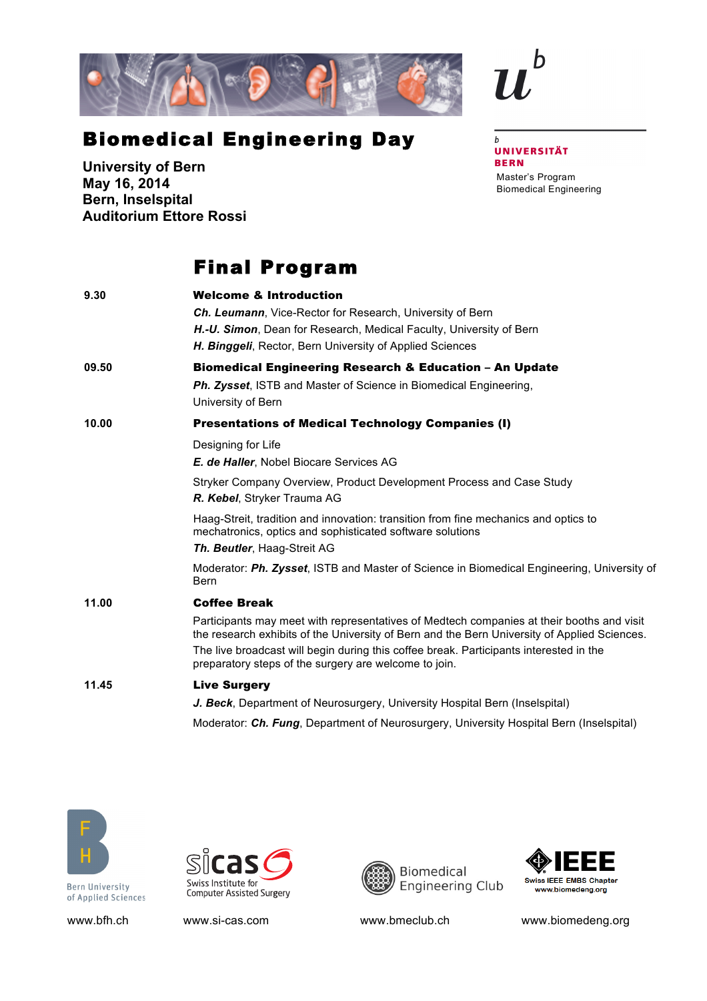

## Biomedical Engineering Day

**University of Bern May 16, 2014 Bern, Inselspital Auditorium Ettore Rossi**

## Final Program

| 9.30  | <b>Welcome &amp; Introduction</b>                                                                                                                                                         |
|-------|-------------------------------------------------------------------------------------------------------------------------------------------------------------------------------------------|
|       | <b>Ch. Leumann, Vice-Rector for Research, University of Bern</b>                                                                                                                          |
|       | H.-U. Simon, Dean for Research, Medical Faculty, University of Bern                                                                                                                       |
|       | H. Binggeli, Rector, Bern University of Applied Sciences                                                                                                                                  |
| 09.50 | <b>Biomedical Engineering Research &amp; Education - An Update</b>                                                                                                                        |
|       | Ph. Zysset, ISTB and Master of Science in Biomedical Engineering,<br>University of Bern                                                                                                   |
| 10.00 | <b>Presentations of Medical Technology Companies (I)</b>                                                                                                                                  |
|       | Designing for Life                                                                                                                                                                        |
|       | E. de Haller, Nobel Biocare Services AG                                                                                                                                                   |
|       | Stryker Company Overview, Product Development Process and Case Study<br>R. Kebel, Stryker Trauma AG                                                                                       |
|       | Haag-Streit, tradition and innovation: transition from fine mechanics and optics to<br>mechatronics, optics and sophisticated software solutions                                          |
|       | Th. Beutler, Haag-Streit AG                                                                                                                                                               |
|       | Moderator: Ph. Zysset, ISTB and Master of Science in Biomedical Engineering, University of<br><b>Bern</b>                                                                                 |
| 11.00 | <b>Coffee Break</b>                                                                                                                                                                       |
|       | Participants may meet with representatives of Medtech companies at their booths and visit<br>the research exhibits of the University of Bern and the Bern University of Applied Sciences. |
|       | The live broadcast will begin during this coffee break. Participants interested in the<br>preparatory steps of the surgery are welcome to join.                                           |
| 11.45 | <b>Live Surgery</b>                                                                                                                                                                       |
|       | J. Beck, Department of Neurosurgery, University Hospital Bern (Inselspital)                                                                                                               |
|       | Moderator: Ch. Fung, Department of Neurosurgery, University Hospital Bern (Inselspital)                                                                                                   |



**Bern University** of Applied Sciences







www.bfh.ch www.si-cas.com www.bmeclub.ch www.biomedeng.org

## $\boldsymbol{b}$ **UNIVERSITÄT BERN** Master's Program Biomedical Engineering

 $\mathbf b$